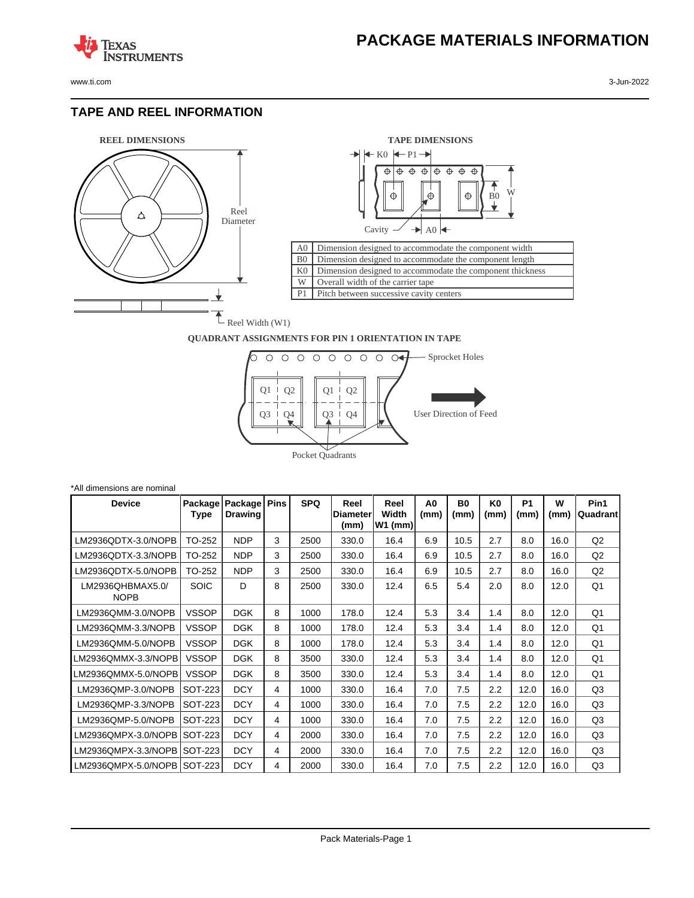www.ti.com 3-Jun-2022

**TEXAS** 

#### **TAPE AND REEL INFORMATION**

**ISTRUMENTS** 





#### **QUADRANT ASSIGNMENTS FOR PIN 1 ORIENTATION IN TAPE**



| *All dimensions are nominal     |                 |                           |             |            |                                  |                            |                        |                        |                        |                        |           |                  |
|---------------------------------|-----------------|---------------------------|-------------|------------|----------------------------------|----------------------------|------------------------|------------------------|------------------------|------------------------|-----------|------------------|
| <b>Device</b>                   | Package<br>Type | Package<br><b>Drawing</b> | <b>Pins</b> | <b>SPQ</b> | Reel<br><b>IDiameter</b><br>(mm) | Reel<br>Width<br>$W1$ (mm) | A <sub>0</sub><br>(mm) | B <sub>0</sub><br>(mm) | K <sub>0</sub><br>(mm) | P <sub>1</sub><br>(mm) | W<br>(mm) | Pin1<br>Quadrant |
| LM2936QDTX-3.0/NOPB             | TO-252          | <b>NDP</b>                | 3           | 2500       | 330.0                            | 16.4                       | 6.9                    | 10.5                   | 2.7                    | 8.0                    | 16.0      | Q <sub>2</sub>   |
| LM2936QDTX-3.3/NOPB             | TO-252          | <b>NDP</b>                | 3           | 2500       | 330.0                            | 16.4                       | 6.9                    | 10.5                   | 2.7                    | 8.0                    | 16.0      | Q2               |
| LM2936QDTX-5.0/NOPB             | TO-252          | <b>NDP</b>                | 3           | 2500       | 330.0                            | 16.4                       | 6.9                    | 10.5                   | 2.7                    | 8.0                    | 16.0      | Q <sub>2</sub>   |
| LM2936QHBMAX5.0/<br><b>NOPB</b> | <b>SOIC</b>     | D                         | 8           | 2500       | 330.0                            | 12.4                       | 6.5                    | 5.4                    | 2.0                    | 8.0                    | 12.0      | Q1               |
| LM2936QMM-3.0/NOPB              | <b>VSSOP</b>    | <b>DGK</b>                | 8           | 1000       | 178.0                            | 12.4                       | 5.3                    | 3.4                    | 1.4                    | 8.0                    | 12.0      | Q1               |
| LM2936QMM-3.3/NOPB              | <b>VSSOP</b>    | <b>DGK</b>                | 8           | 1000       | 178.0                            | 12.4                       | 5.3                    | 3.4                    | 1.4                    | 8.0                    | 12.0      | Q1               |
| LM2936QMM-5.0/NOPB              | <b>VSSOP</b>    | <b>DGK</b>                | 8           | 1000       | 178.0                            | 12.4                       | 5.3                    | 3.4                    | 1.4                    | 8.0                    | 12.0      | Q1               |
| LM2936QMMX-3.3/NOPB             | <b>VSSOP</b>    | <b>DGK</b>                | 8           | 3500       | 330.0                            | 12.4                       | 5.3                    | 3.4                    | 1.4                    | 8.0                    | 12.0      | Q1               |
| LM2936QMMX-5.0/NOPB             | <b>VSSOP</b>    | <b>DGK</b>                | 8           | 3500       | 330.0                            | 12.4                       | 5.3                    | 3.4                    | 1.4                    | 8.0                    | 12.0      | Q1               |
| LM2936QMP-3.0/NOPB              | SOT-223         | <b>DCY</b>                | 4           | 1000       | 330.0                            | 16.4                       | 7.0                    | 7.5                    | 2.2                    | 12.0                   | 16.0      | Q3               |
| LM2936QMP-3.3/NOPB              | SOT-223         | <b>DCY</b>                | 4           | 1000       | 330.0                            | 16.4                       | 7.0                    | 7.5                    | 2.2                    | 12.0                   | 16.0      | Q3               |
| LM2936QMP-5.0/NOPB              | SOT-223         | <b>DCY</b>                | 4           | 1000       | 330.0                            | 16.4                       | 7.0                    | 7.5                    | $2.2\phantom{0}$       | 12.0                   | 16.0      | Q3               |
| LM2936QMPX-3.0/NOPB             | SOT-223         | <b>DCY</b>                | 4           | 2000       | 330.0                            | 16.4                       | 7.0                    | 7.5                    | 2.2                    | 12.0                   | 16.0      | Q3               |
| LM2936QMPX-3.3/NOPB             | SOT-223         | <b>DCY</b>                | 4           | 2000       | 330.0                            | 16.4                       | 7.0                    | 7.5                    | 2.2                    | 12.0                   | 16.0      | Q3               |
| LM2936QMPX-5.0/NOPB             | SOT-223         | <b>DCY</b>                | 4           | 2000       | 330.0                            | 16.4                       | 7.0                    | 7.5                    | 2.2                    | 12.0                   | 16.0      | Q <sub>3</sub>   |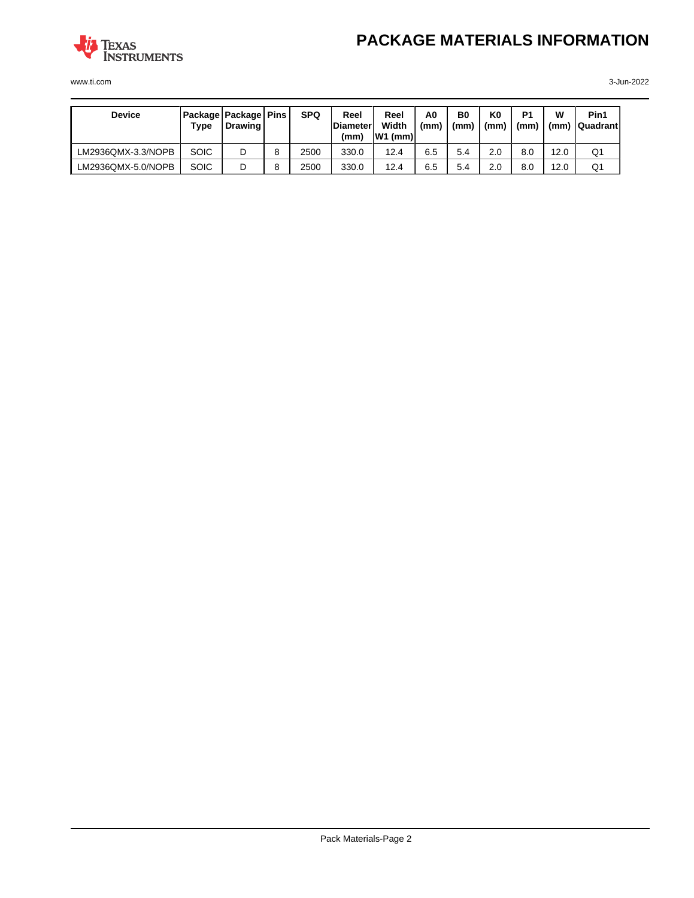

www.ti.com 3-Jun-2022

| <b>Device</b>      | Package   Package   Pins  <br>Type | <b>Drawing</b> |   | <b>SPQ</b> | Reel<br><b>IDiameter</b><br>(mm) | Reel<br>Width<br>$ W1$ (mm) $ $ | A0<br>(mm) | B <sub>0</sub><br>(mm) | K0<br>(mm) | P <sub>1</sub><br>(mm) | w    | Pin1<br>$(mm)$   Quadrant |
|--------------------|------------------------------------|----------------|---|------------|----------------------------------|---------------------------------|------------|------------------------|------------|------------------------|------|---------------------------|
| LM2936QMX-3.3/NOPB | <b>SOIC</b>                        | D              | 8 | 2500       | 330.0                            | 12.4                            | 6.5        | 5.4                    | 2.0        | 8.0                    | 12.0 | Q1                        |
| LM2936QMX-5.0/NOPB | <b>SOIC</b>                        | D              | 8 | 2500       | 330.0                            | 12.4                            | 6.5        | 5.4                    | 2.0        | 8.0                    | 12.0 | Q1                        |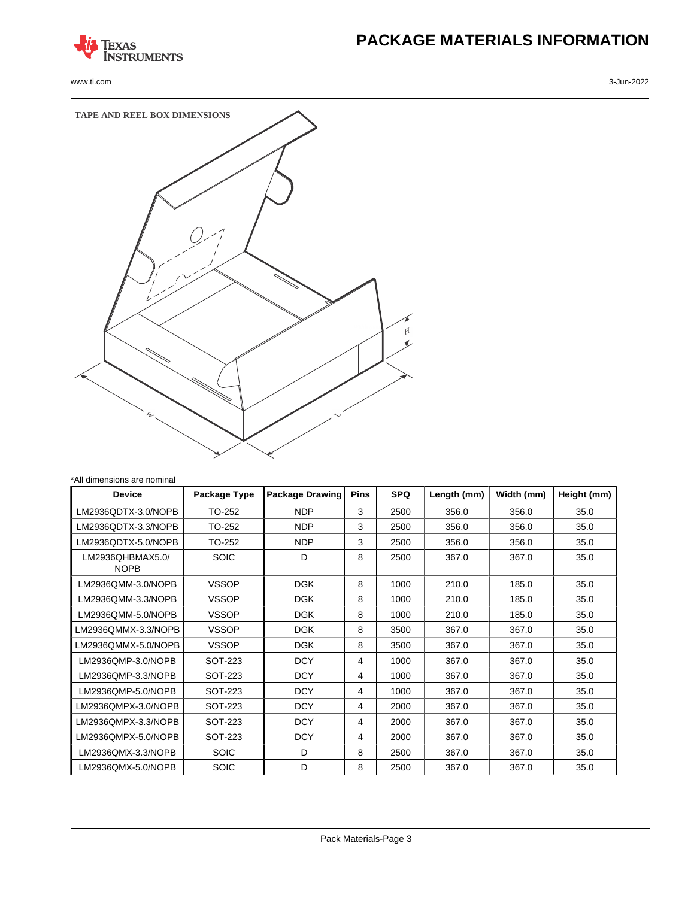

www.ti.com 3-Jun-2022

# **PACKAGE MATERIALS INFORMATION**



| All dimensions are nominal      |              |                        |             |            |             |            |             |
|---------------------------------|--------------|------------------------|-------------|------------|-------------|------------|-------------|
| <b>Device</b>                   | Package Type | <b>Package Drawing</b> | <b>Pins</b> | <b>SPQ</b> | Length (mm) | Width (mm) | Height (mm) |
| LM2936QDTX-3.0/NOPB             | TO-252       | <b>NDP</b>             | 3           | 2500       | 356.0       | 356.0      | 35.0        |
| LM2936QDTX-3.3/NOPB             | TO-252       | <b>NDP</b>             | 3           | 2500       | 356.0       | 356.0      | 35.0        |
| LM2936QDTX-5.0/NOPB             | TO-252       | <b>NDP</b>             | 3           | 2500       | 356.0       | 356.0      | 35.0        |
| LM2936QHBMAX5.0/<br><b>NOPB</b> | <b>SOIC</b>  | D                      | 8           | 2500       | 367.0       | 367.0      | 35.0        |
| LM2936QMM-3.0/NOPB              | <b>VSSOP</b> | <b>DGK</b>             | 8           | 1000       | 210.0       | 185.0      | 35.0        |
| LM2936QMM-3.3/NOPB              | <b>VSSOP</b> | <b>DGK</b>             | 8           | 1000       | 210.0       | 185.0      | 35.0        |
| LM2936QMM-5.0/NOPB              | <b>VSSOP</b> | <b>DGK</b>             | 8           | 1000       | 210.0       | 185.0      | 35.0        |
| LM2936OMMX-3.3/NOPB             | <b>VSSOP</b> | <b>DGK</b>             | 8           | 3500       | 367.0       | 367.0      | 35.0        |
| LM2936OMMX-5.0/NOPB             | <b>VSSOP</b> | <b>DGK</b>             | 8           | 3500       | 367.0       | 367.0      | 35.0        |
| LM2936QMP-3.0/NOPB              | SOT-223      | <b>DCY</b>             | 4           | 1000       | 367.0       | 367.0      | 35.0        |
| LM2936QMP-3.3/NOPB              | SOT-223      | <b>DCY</b>             | 4           | 1000       | 367.0       | 367.0      | 35.0        |
| LM2936QMP-5.0/NOPB              | SOT-223      | <b>DCY</b>             | 4           | 1000       | 367.0       | 367.0      | 35.0        |
| LM2936OMPX-3.0/NOPB             | SOT-223      | <b>DCY</b>             | 4           | 2000       | 367.0       | 367.0      | 35.0        |
| LM2936QMPX-3.3/NOPB             | SOT-223      | <b>DCY</b>             | 4           | 2000       | 367.0       | 367.0      | 35.0        |
| LM2936QMPX-5.0/NOPB             | SOT-223      | <b>DCY</b>             | 4           | 2000       | 367.0       | 367.0      | 35.0        |
| LM2936QMX-3.3/NOPB              | <b>SOIC</b>  | D                      | 8           | 2500       | 367.0       | 367.0      | 35.0        |
| LM2936QMX-5.0/NOPB              | <b>SOIC</b>  | D                      | 8           | 2500       | 367.0       | 367.0      | 35.0        |